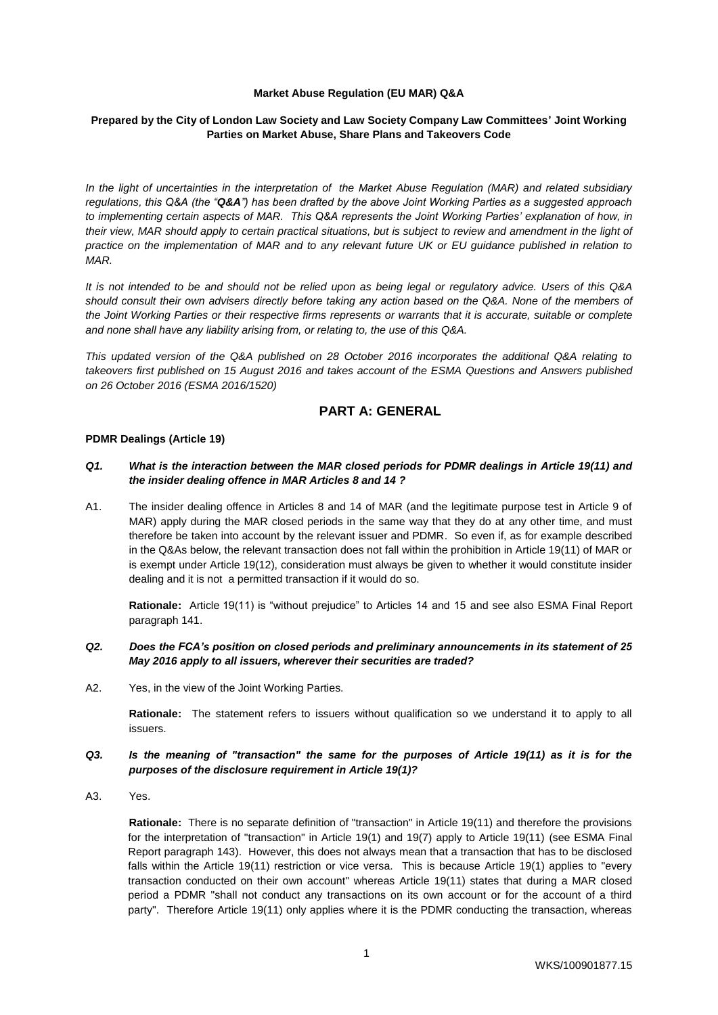#### **Market Abuse Regulation (EU MAR) Q&A**

## **Prepared by the City of London Law Society and Law Society Company Law Committees' Joint Working Parties on Market Abuse, Share Plans and Takeovers Code**

*In the light of uncertainties in the interpretation of the Market Abuse Regulation (MAR) and related subsidiary regulations, this Q&A (the "Q&A") has been drafted by the above Joint Working Parties as a suggested approach to implementing certain aspects of MAR. This Q&A represents the Joint Working Parties' explanation of how, in their view, MAR should apply to certain practical situations, but is subject to review and amendment in the light of practice on the implementation of MAR and to any relevant future UK or EU guidance published in relation to MAR.*

*It is not intended to be and should not be relied upon as being legal or regulatory advice. Users of this Q&A should consult their own advisers directly before taking any action based on the Q&A. None of the members of the Joint Working Parties or their respective firms represents or warrants that it is accurate, suitable or complete and none shall have any liability arising from, or relating to, the use of this Q&A.*

*This updated version of the Q&A published on 28 October 2016 incorporates the additional Q&A relating to takeovers first published on 15 August 2016 and takes account of the ESMA Questions and Answers published on 26 October 2016 (ESMA 2016/1520)*

# **PART A: GENERAL**

#### **PDMR Dealings (Article 19)**

## *Q1. What is the interaction between the MAR closed periods for PDMR dealings in Article 19(11) and the insider dealing offence in MAR Articles 8 and 14 ?*

A1. The insider dealing offence in Articles 8 and 14 of MAR (and the legitimate purpose test in Article 9 of MAR) apply during the MAR closed periods in the same way that they do at any other time, and must therefore be taken into account by the relevant issuer and PDMR. So even if, as for example described in the Q&As below, the relevant transaction does not fall within the prohibition in Article 19(11) of MAR or is exempt under Article 19(12), consideration must always be given to whether it would constitute insider dealing and it is not a permitted transaction if it would do so.

**Rationale:** Article 19(11) is "without prejudice" to Articles 14 and 15 and see also ESMA Final Report paragraph 141.

## *Q2. Does the FCA's position on closed periods and preliminary announcements in its statement of 25 May 2016 apply to all issuers, wherever their securities are traded?*

A2. Yes, in the view of the Joint Working Parties.

**Rationale:** The statement refers to issuers without qualification so we understand it to apply to all issuers.

#### *Q3. Is the meaning of "transaction" the same for the purposes of Article 19(11) as it is for the purposes of the disclosure requirement in Article 19(1)?*

A3. Yes.

**Rationale:** There is no separate definition of "transaction" in Article 19(11) and therefore the provisions for the interpretation of "transaction" in Article 19(1) and 19(7) apply to Article 19(11) (see ESMA Final Report paragraph 143). However, this does not always mean that a transaction that has to be disclosed falls within the Article 19(11) restriction or vice versa. This is because Article 19(1) applies to "every transaction conducted on their own account" whereas Article 19(11) states that during a MAR closed period a PDMR "shall not conduct any transactions on its own account or for the account of a third party". Therefore Article 19(11) only applies where it is the PDMR conducting the transaction, whereas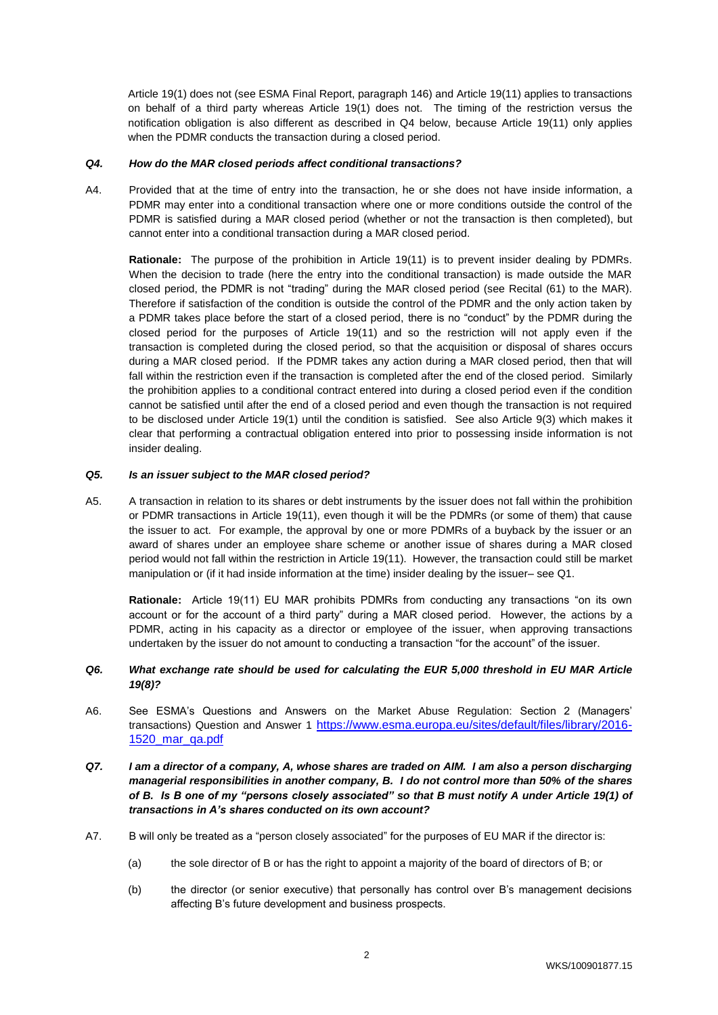Article 19(1) does not (see ESMA Final Report, paragraph 146) and Article 19(11) applies to transactions on behalf of a third party whereas Article 19(1) does not. The timing of the restriction versus the notification obligation is also different as described in Q4 below, because Article 19(11) only applies when the PDMR conducts the transaction during a closed period.

#### *Q4. How do the MAR closed periods affect conditional transactions?*

A4. Provided that at the time of entry into the transaction, he or she does not have inside information, a PDMR may enter into a conditional transaction where one or more conditions outside the control of the PDMR is satisfied during a MAR closed period (whether or not the transaction is then completed), but cannot enter into a conditional transaction during a MAR closed period.

**Rationale:** The purpose of the prohibition in Article 19(11) is to prevent insider dealing by PDMRs. When the decision to trade (here the entry into the conditional transaction) is made outside the MAR closed period, the PDMR is not "trading" during the MAR closed period (see Recital (61) to the MAR). Therefore if satisfaction of the condition is outside the control of the PDMR and the only action taken by a PDMR takes place before the start of a closed period, there is no "conduct" by the PDMR during the closed period for the purposes of Article 19(11) and so the restriction will not apply even if the transaction is completed during the closed period, so that the acquisition or disposal of shares occurs during a MAR closed period. If the PDMR takes any action during a MAR closed period, then that will fall within the restriction even if the transaction is completed after the end of the closed period. Similarly the prohibition applies to a conditional contract entered into during a closed period even if the condition cannot be satisfied until after the end of a closed period and even though the transaction is not required to be disclosed under Article 19(1) until the condition is satisfied. See also Article 9(3) which makes it clear that performing a contractual obligation entered into prior to possessing inside information is not insider dealing.

#### *Q5. Is an issuer subject to the MAR closed period?*

A5. A transaction in relation to its shares or debt instruments by the issuer does not fall within the prohibition or PDMR transactions in Article 19(11), even though it will be the PDMRs (or some of them) that cause the issuer to act. For example, the approval by one or more PDMRs of a buyback by the issuer or an award of shares under an employee share scheme or another issue of shares during a MAR closed period would not fall within the restriction in Article 19(11). However, the transaction could still be market manipulation or (if it had inside information at the time) insider dealing by the issuer– see Q1.

**Rationale:** Article 19(11) EU MAR prohibits PDMRs from conducting any transactions "on its own account or for the account of a third party" during a MAR closed period. However, the actions by a PDMR, acting in his capacity as a director or employee of the issuer, when approving transactions undertaken by the issuer do not amount to conducting a transaction "for the account" of the issuer.

## *Q6. What exchange rate should be used for calculating the EUR 5,000 threshold in EU MAR Article 19(8)?*

- A6. See ESMA's Questions and Answers on the Market Abuse Regulation: Section 2 (Managers' transactions) Question and Answer 1 https://www.esma.europa.eu/sites/default/files/library/2016-1520\_mar\_qa.pdf
- *Q7. I am a director of a company, A, whose shares are traded on AIM. I am also a person discharging managerial responsibilities in another company, B. I do not control more than 50% of the shares of B. Is B one of my "persons closely associated" so that B must notify A under Article 19(1) of transactions in A's shares conducted on its own account?*
- A7. B will only be treated as a "person closely associated" for the purposes of EU MAR if the director is:
	- (a) the sole director of B or has the right to appoint a majority of the board of directors of B; or
	- (b) the director (or senior executive) that personally has control over B's management decisions affecting B's future development and business prospects.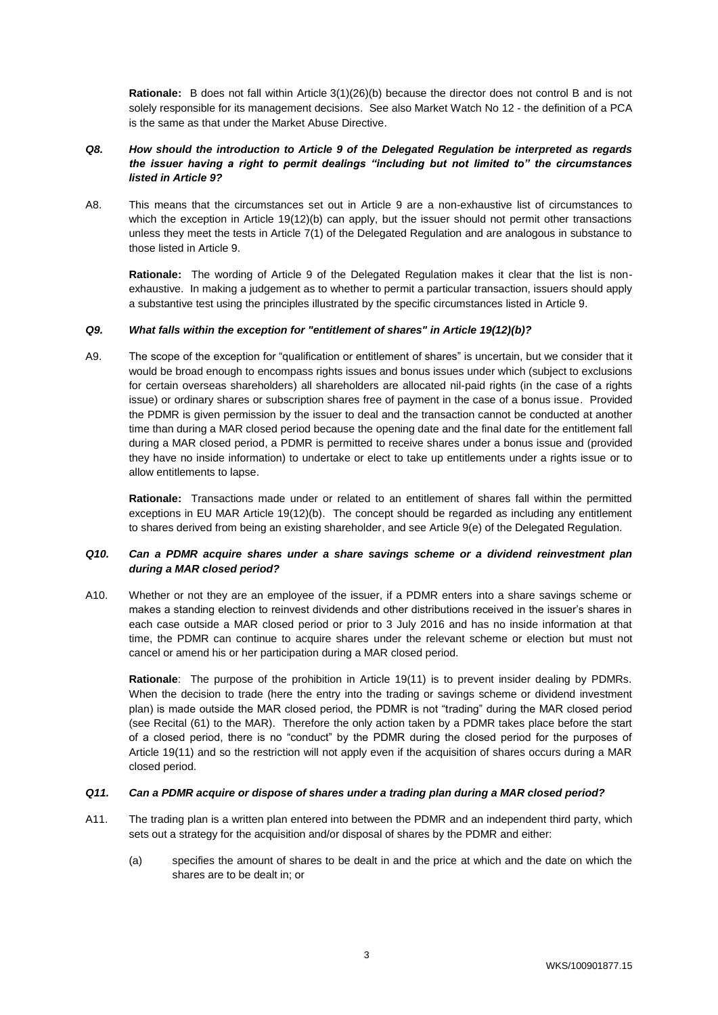**Rationale:** B does not fall within Article 3(1)(26)(b) because the director does not control B and is not solely responsible for its management decisions. See also Market Watch No 12 - the definition of a PCA is the same as that under the Market Abuse Directive.

## *Q8. How should the introduction to Article 9 of the Delegated Regulation be interpreted as regards the issuer having a right to permit dealings "including but not limited to" the circumstances listed in Article 9?*

A8. This means that the circumstances set out in Article 9 are a non-exhaustive list of circumstances to which the exception in Article 19(12)(b) can apply, but the issuer should not permit other transactions unless they meet the tests in Article 7(1) of the Delegated Regulation and are analogous in substance to those listed in Article 9.

**Rationale:** The wording of Article 9 of the Delegated Regulation makes it clear that the list is nonexhaustive. In making a judgement as to whether to permit a particular transaction, issuers should apply a substantive test using the principles illustrated by the specific circumstances listed in Article 9.

## *Q9. What falls within the exception for "entitlement of shares" in Article 19(12)(b)?*

A9. The scope of the exception for "qualification or entitlement of shares" is uncertain, but we consider that it would be broad enough to encompass rights issues and bonus issues under which (subject to exclusions for certain overseas shareholders) all shareholders are allocated nil-paid rights (in the case of a rights issue) or ordinary shares or subscription shares free of payment in the case of a bonus issue. Provided the PDMR is given permission by the issuer to deal and the transaction cannot be conducted at another time than during a MAR closed period because the opening date and the final date for the entitlement fall during a MAR closed period, a PDMR is permitted to receive shares under a bonus issue and (provided they have no inside information) to undertake or elect to take up entitlements under a rights issue or to allow entitlements to lapse.

**Rationale:** Transactions made under or related to an entitlement of shares fall within the permitted exceptions in EU MAR Article 19(12)(b). The concept should be regarded as including any entitlement to shares derived from being an existing shareholder, and see Article 9(e) of the Delegated Regulation.

## *Q10. Can a PDMR acquire shares under a share savings scheme or a dividend reinvestment plan during a MAR closed period?*

A10. Whether or not they are an employee of the issuer, if a PDMR enters into a share savings scheme or makes a standing election to reinvest dividends and other distributions received in the issuer's shares in each case outside a MAR closed period or prior to 3 July 2016 and has no inside information at that time, the PDMR can continue to acquire shares under the relevant scheme or election but must not cancel or amend his or her participation during a MAR closed period.

**Rationale**: The purpose of the prohibition in Article 19(11) is to prevent insider dealing by PDMRs. When the decision to trade (here the entry into the trading or savings scheme or dividend investment plan) is made outside the MAR closed period, the PDMR is not "trading" during the MAR closed period (see Recital (61) to the MAR). Therefore the only action taken by a PDMR takes place before the start of a closed period, there is no "conduct" by the PDMR during the closed period for the purposes of Article 19(11) and so the restriction will not apply even if the acquisition of shares occurs during a MAR closed period.

## *Q11. Can a PDMR acquire or dispose of shares under a trading plan during a MAR closed period?*

- A11. The trading plan is a written plan entered into between the PDMR and an independent third party, which sets out a strategy for the acquisition and/or disposal of shares by the PDMR and either:
	- (a) specifies the amount of shares to be dealt in and the price at which and the date on which the shares are to be dealt in; or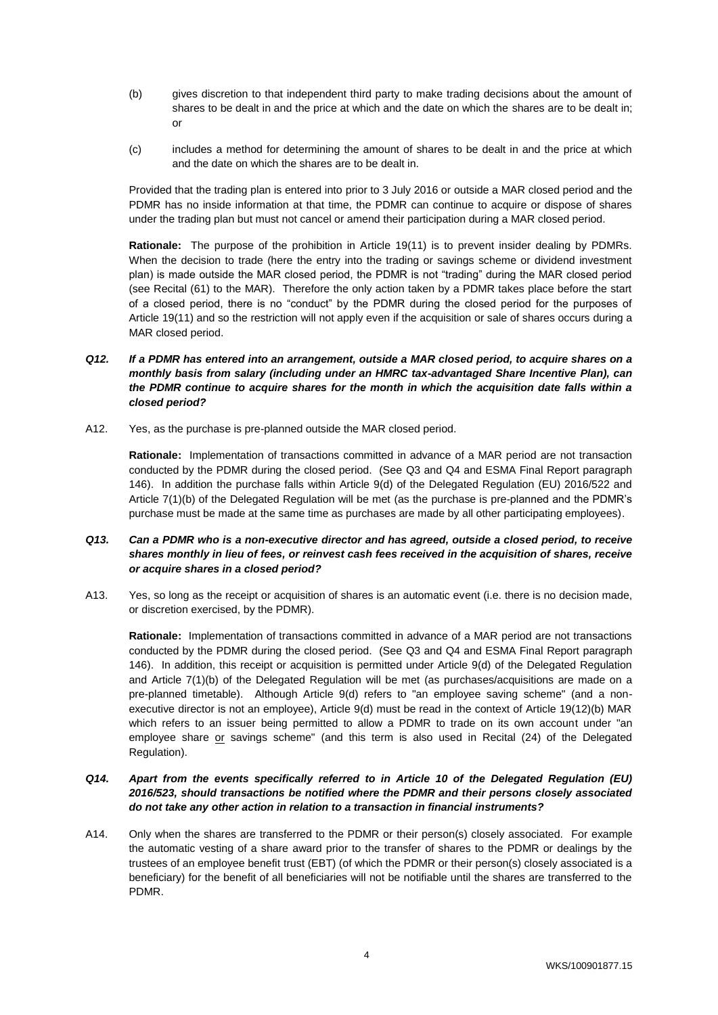- (b) gives discretion to that independent third party to make trading decisions about the amount of shares to be dealt in and the price at which and the date on which the shares are to be dealt in; or
- (c) includes a method for determining the amount of shares to be dealt in and the price at which and the date on which the shares are to be dealt in.

Provided that the trading plan is entered into prior to 3 July 2016 or outside a MAR closed period and the PDMR has no inside information at that time, the PDMR can continue to acquire or dispose of shares under the trading plan but must not cancel or amend their participation during a MAR closed period.

**Rationale:** The purpose of the prohibition in Article 19(11) is to prevent insider dealing by PDMRs. When the decision to trade (here the entry into the trading or savings scheme or dividend investment plan) is made outside the MAR closed period, the PDMR is not "trading" during the MAR closed period (see Recital (61) to the MAR). Therefore the only action taken by a PDMR takes place before the start of a closed period, there is no "conduct" by the PDMR during the closed period for the purposes of Article 19(11) and so the restriction will not apply even if the acquisition or sale of shares occurs during a MAR closed period.

- *Q12. If a PDMR has entered into an arrangement, outside a MAR closed period, to acquire shares on a monthly basis from salary (including under an HMRC tax-advantaged Share Incentive Plan), can the PDMR continue to acquire shares for the month in which the acquisition date falls within a closed period?*
- A12. Yes, as the purchase is pre-planned outside the MAR closed period.

**Rationale:** Implementation of transactions committed in advance of a MAR period are not transaction conducted by the PDMR during the closed period. (See Q3 and Q4 and ESMA Final Report paragraph 146). In addition the purchase falls within Article 9(d) of the Delegated Regulation (EU) 2016/522 and Article 7(1)(b) of the Delegated Regulation will be met (as the purchase is pre-planned and the PDMR's purchase must be made at the same time as purchases are made by all other participating employees).

## *Q13. Can a PDMR who is a non-executive director and has agreed, outside a closed period, to receive shares monthly in lieu of fees, or reinvest cash fees received in the acquisition of shares, receive or acquire shares in a closed period?*

A13. Yes, so long as the receipt or acquisition of shares is an automatic event (i.e. there is no decision made, or discretion exercised, by the PDMR).

**Rationale:** Implementation of transactions committed in advance of a MAR period are not transactions conducted by the PDMR during the closed period. (See Q3 and Q4 and ESMA Final Report paragraph 146). In addition, this receipt or acquisition is permitted under Article 9(d) of the Delegated Regulation and Article 7(1)(b) of the Delegated Regulation will be met (as purchases/acquisitions are made on a pre-planned timetable). Although Article 9(d) refers to "an employee saving scheme" (and a nonexecutive director is not an employee), Article 9(d) must be read in the context of Article 19(12)(b) MAR which refers to an issuer being permitted to allow a PDMR to trade on its own account under "an employee share or savings scheme" (and this term is also used in Recital (24) of the Delegated Regulation).

## *Q14. Apart from the events specifically referred to in Article 10 of the Delegated Regulation (EU) 2016/523, should transactions be notified where the PDMR and their persons closely associated do not take any other action in relation to a transaction in financial instruments?*

A14. Only when the shares are transferred to the PDMR or their person(s) closely associated. For example the automatic vesting of a share award prior to the transfer of shares to the PDMR or dealings by the trustees of an employee benefit trust (EBT) (of which the PDMR or their person(s) closely associated is a beneficiary) for the benefit of all beneficiaries will not be notifiable until the shares are transferred to the PDMR.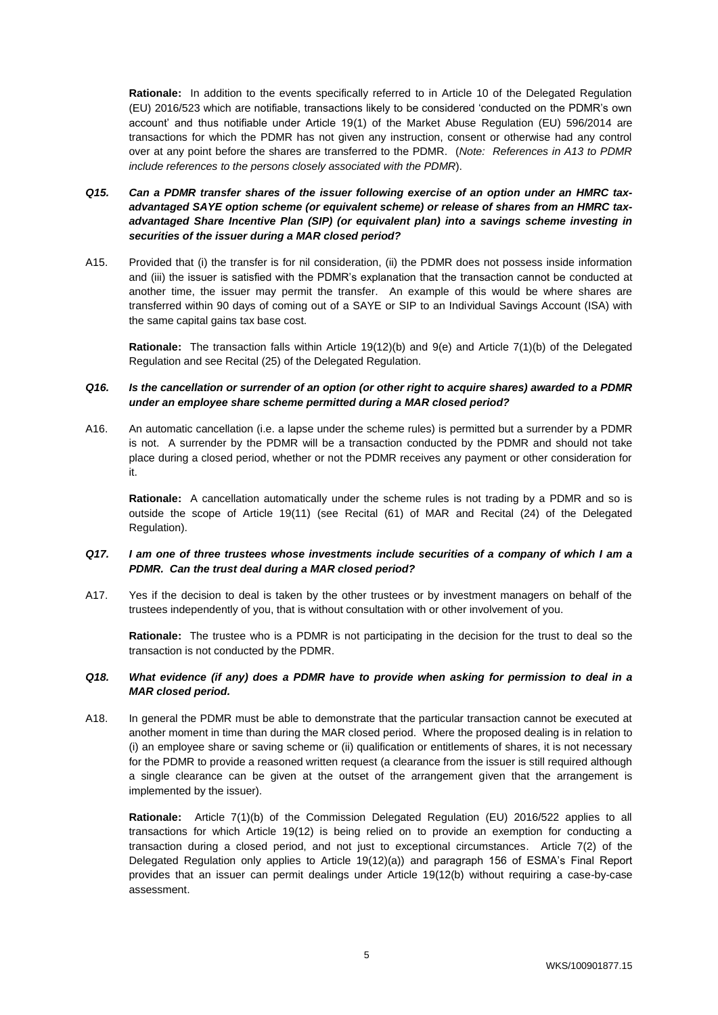**Rationale:** In addition to the events specifically referred to in Article 10 of the Delegated Regulation (EU) 2016/523 which are notifiable, transactions likely to be considered 'conducted on the PDMR's own account' and thus notifiable under Article 19(1) of the Market Abuse Regulation (EU) 596/2014 are transactions for which the PDMR has not given any instruction, consent or otherwise had any control over at any point before the shares are transferred to the PDMR. (*Note: References in A13 to PDMR include references to the persons closely associated with the PDMR*).

- *Q15. Can a PDMR transfer shares of the issuer following exercise of an option under an HMRC taxadvantaged SAYE option scheme (or equivalent scheme) or release of shares from an HMRC taxadvantaged Share Incentive Plan (SIP) (or equivalent plan) into a savings scheme investing in securities of the issuer during a MAR closed period?*
- A15. Provided that (i) the transfer is for nil consideration, (ii) the PDMR does not possess inside information and (iii) the issuer is satisfied with the PDMR's explanation that the transaction cannot be conducted at another time, the issuer may permit the transfer. An example of this would be where shares are transferred within 90 days of coming out of a SAYE or SIP to an Individual Savings Account (ISA) with the same capital gains tax base cost.

**Rationale:** The transaction falls within Article 19(12)(b) and 9(e) and Article 7(1)(b) of the Delegated Regulation and see Recital (25) of the Delegated Regulation.

## *Q16. Is the cancellation or surrender of an option (or other right to acquire shares) awarded to a PDMR under an employee share scheme permitted during a MAR closed period?*

A16. An automatic cancellation (i.e. a lapse under the scheme rules) is permitted but a surrender by a PDMR is not. A surrender by the PDMR will be a transaction conducted by the PDMR and should not take place during a closed period, whether or not the PDMR receives any payment or other consideration for it.

**Rationale:** A cancellation automatically under the scheme rules is not trading by a PDMR and so is outside the scope of Article 19(11) (see Recital (61) of MAR and Recital (24) of the Delegated Regulation).

## *Q17. I am one of three trustees whose investments include securities of a company of which I am a PDMR. Can the trust deal during a MAR closed period?*

A17. Yes if the decision to deal is taken by the other trustees or by investment managers on behalf of the trustees independently of you, that is without consultation with or other involvement of you.

**Rationale:** The trustee who is a PDMR is not participating in the decision for the trust to deal so the transaction is not conducted by the PDMR.

### *Q18. What evidence (if any) does a PDMR have to provide when asking for permission to deal in a MAR closed period.*

A18. In general the PDMR must be able to demonstrate that the particular transaction cannot be executed at another moment in time than during the MAR closed period. Where the proposed dealing is in relation to (i) an employee share or saving scheme or (ii) qualification or entitlements of shares, it is not necessary for the PDMR to provide a reasoned written request (a clearance from the issuer is still required although a single clearance can be given at the outset of the arrangement given that the arrangement is implemented by the issuer).

**Rationale:** Article 7(1)(b) of the Commission Delegated Regulation (EU) 2016/522 applies to all transactions for which Article 19(12) is being relied on to provide an exemption for conducting a transaction during a closed period, and not just to exceptional circumstances. Article 7(2) of the Delegated Regulation only applies to Article 19(12)(a)) and paragraph 156 of ESMA's Final Report provides that an issuer can permit dealings under Article 19(12(b) without requiring a case-by-case assessment.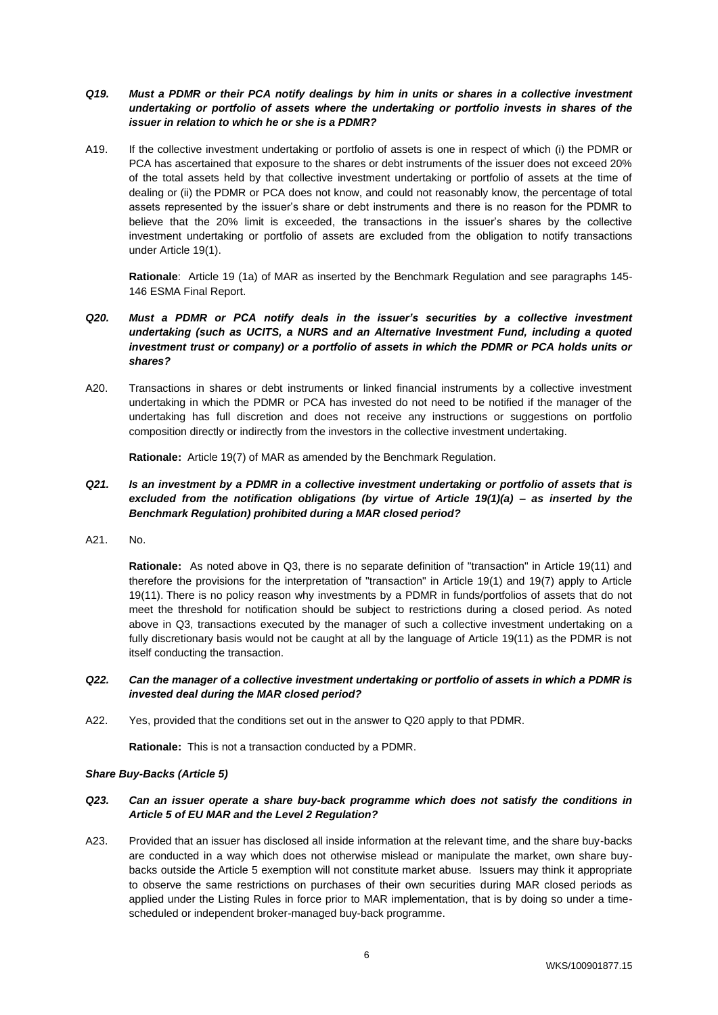## *Q19. Must a PDMR or their PCA notify dealings by him in units or shares in a collective investment undertaking or portfolio of assets where the undertaking or portfolio invests in shares of the issuer in relation to which he or she is a PDMR?*

A19. If the collective investment undertaking or portfolio of assets is one in respect of which (i) the PDMR or PCA has ascertained that exposure to the shares or debt instruments of the issuer does not exceed 20% of the total assets held by that collective investment undertaking or portfolio of assets at the time of dealing or (ii) the PDMR or PCA does not know, and could not reasonably know, the percentage of total assets represented by the issuer's share or debt instruments and there is no reason for the PDMR to believe that the 20% limit is exceeded, the transactions in the issuer's shares by the collective investment undertaking or portfolio of assets are excluded from the obligation to notify transactions under Article 19(1).

**Rationale**: Article 19 (1a) of MAR as inserted by the Benchmark Regulation and see paragraphs 145- 146 ESMA Final Report.

- *Q20. Must a PDMR or PCA notify deals in the issuer's securities by a collective investment undertaking (such as UCITS, a NURS and an Alternative Investment Fund, including a quoted*  investment trust or company) or a portfolio of assets in which the PDMR or PCA holds units or *shares?*
- A20. Transactions in shares or debt instruments or linked financial instruments by a collective investment undertaking in which the PDMR or PCA has invested do not need to be notified if the manager of the undertaking has full discretion and does not receive any instructions or suggestions on portfolio composition directly or indirectly from the investors in the collective investment undertaking.

**Rationale:** Article 19(7) of MAR as amended by the Benchmark Regulation.

- *Q21. Is an investment by a PDMR in a collective investment undertaking or portfolio of assets that is excluded from the notification obligations (by virtue of Article 19(1)(a) – as inserted by the Benchmark Regulation) prohibited during a MAR closed period?*
- A21. No.

**Rationale:** As noted above in Q3, there is no separate definition of "transaction" in Article 19(11) and therefore the provisions for the interpretation of "transaction" in Article 19(1) and 19(7) apply to Article 19(11). There is no policy reason why investments by a PDMR in funds/portfolios of assets that do not meet the threshold for notification should be subject to restrictions during a closed period. As noted above in Q3, transactions executed by the manager of such a collective investment undertaking on a fully discretionary basis would not be caught at all by the language of Article 19(11) as the PDMR is not itself conducting the transaction.

#### *Q22. Can the manager of a collective investment undertaking or portfolio of assets in which a PDMR is invested deal during the MAR closed period?*

A22. Yes, provided that the conditions set out in the answer to Q20 apply to that PDMR.

**Rationale:** This is not a transaction conducted by a PDMR.

#### *Share Buy-Backs (Article 5)*

#### *Q23. Can an issuer operate a share buy-back programme which does not satisfy the conditions in Article 5 of EU MAR and the Level 2 Regulation?*

A23. Provided that an issuer has disclosed all inside information at the relevant time, and the share buy-backs are conducted in a way which does not otherwise mislead or manipulate the market, own share buybacks outside the Article 5 exemption will not constitute market abuse. Issuers may think it appropriate to observe the same restrictions on purchases of their own securities during MAR closed periods as applied under the Listing Rules in force prior to MAR implementation, that is by doing so under a timescheduled or independent broker-managed buy-back programme.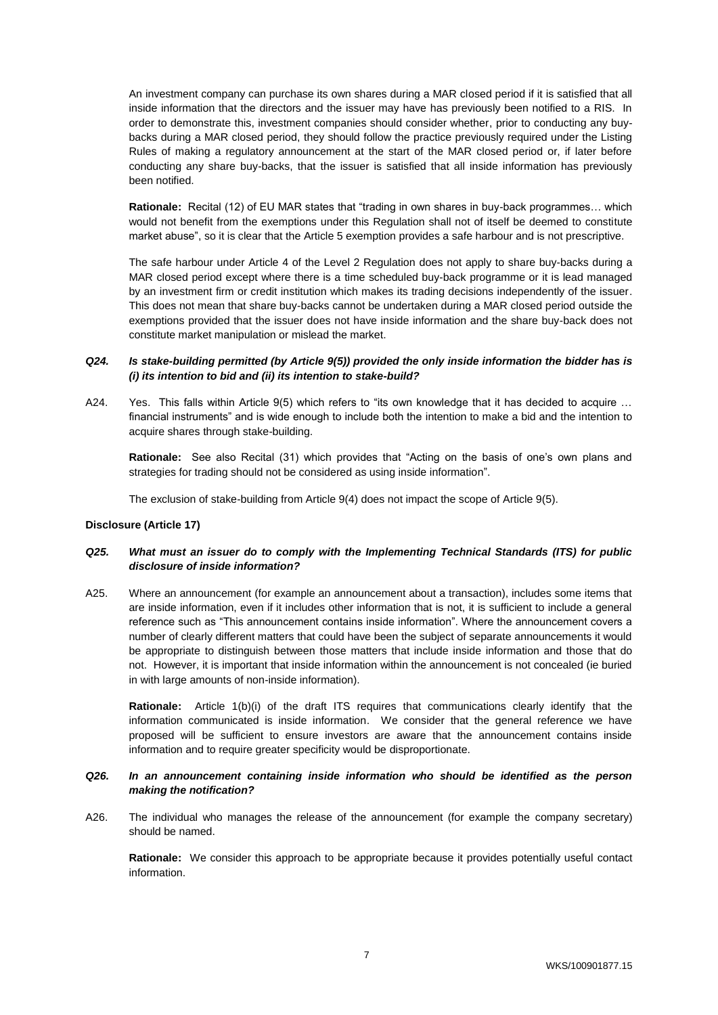An investment company can purchase its own shares during a MAR closed period if it is satisfied that all inside information that the directors and the issuer may have has previously been notified to a RIS. In order to demonstrate this, investment companies should consider whether, prior to conducting any buybacks during a MAR closed period, they should follow the practice previously required under the Listing Rules of making a regulatory announcement at the start of the MAR closed period or, if later before conducting any share buy-backs, that the issuer is satisfied that all inside information has previously been notified.

**Rationale:** Recital (12) of EU MAR states that "trading in own shares in buy-back programmes… which would not benefit from the exemptions under this Regulation shall not of itself be deemed to constitute market abuse", so it is clear that the Article 5 exemption provides a safe harbour and is not prescriptive.

The safe harbour under Article 4 of the Level 2 Regulation does not apply to share buy-backs during a MAR closed period except where there is a time scheduled buy-back programme or it is lead managed by an investment firm or credit institution which makes its trading decisions independently of the issuer. This does not mean that share buy-backs cannot be undertaken during a MAR closed period outside the exemptions provided that the issuer does not have inside information and the share buy-back does not constitute market manipulation or mislead the market.

## *Q24. Is stake-building permitted (by Article 9(5)) provided the only inside information the bidder has is (i) its intention to bid and (ii) its intention to stake-build?*

A24. Yes. This falls within Article 9(5) which refers to "its own knowledge that it has decided to acquire … financial instruments" and is wide enough to include both the intention to make a bid and the intention to acquire shares through stake-building.

**Rationale:** See also Recital (31) which provides that "Acting on the basis of one's own plans and strategies for trading should not be considered as using inside information".

The exclusion of stake-building from Article 9(4) does not impact the scope of Article 9(5).

## **Disclosure (Article 17)**

## *Q25. What must an issuer do to comply with the Implementing Technical Standards (ITS) for public disclosure of inside information?*

A25. Where an announcement (for example an announcement about a transaction), includes some items that are inside information, even if it includes other information that is not, it is sufficient to include a general reference such as "This announcement contains inside information". Where the announcement covers a number of clearly different matters that could have been the subject of separate announcements it would be appropriate to distinguish between those matters that include inside information and those that do not. However, it is important that inside information within the announcement is not concealed (ie buried in with large amounts of non-inside information).

**Rationale:** Article 1(b)(i) of the draft ITS requires that communications clearly identify that the information communicated is inside information. We consider that the general reference we have proposed will be sufficient to ensure investors are aware that the announcement contains inside information and to require greater specificity would be disproportionate.

## *Q26. In an announcement containing inside information who should be identified as the person making the notification?*

A26. The individual who manages the release of the announcement (for example the company secretary) should be named.

**Rationale:** We consider this approach to be appropriate because it provides potentially useful contact information.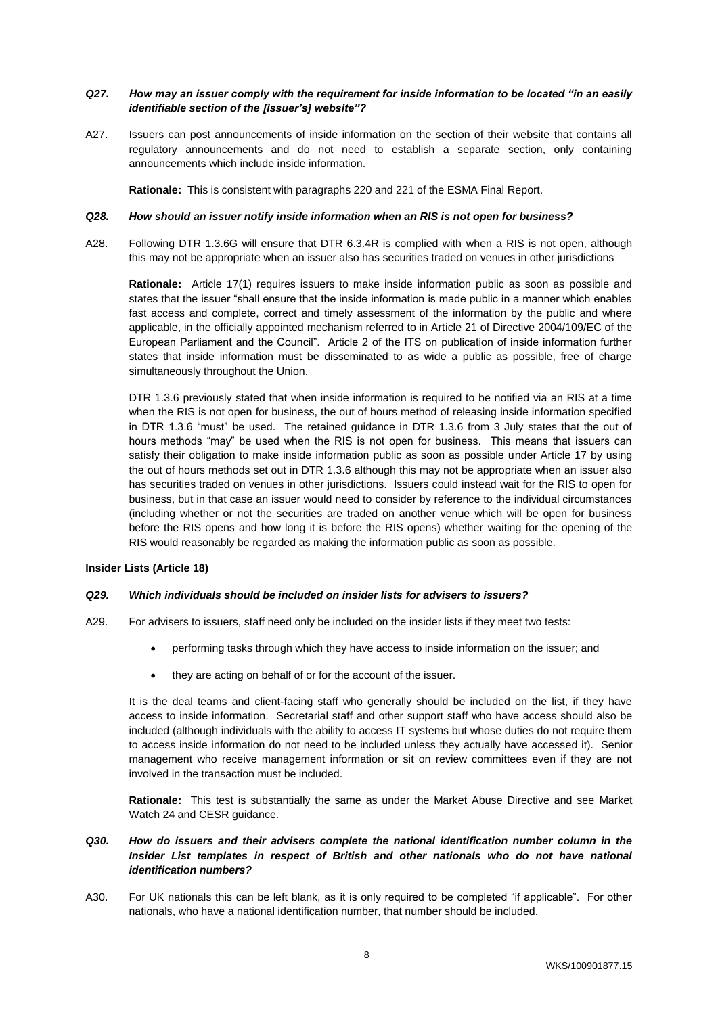## *Q27. How may an issuer comply with the requirement for inside information to be located "in an easily identifiable section of the [issuer's] website"?*

A27. Issuers can post announcements of inside information on the section of their website that contains all regulatory announcements and do not need to establish a separate section, only containing announcements which include inside information.

**Rationale:** This is consistent with paragraphs 220 and 221 of the ESMA Final Report.

#### *Q28. How should an issuer notify inside information when an RIS is not open for business?*

A28. Following DTR 1.3.6G will ensure that DTR 6.3.4R is complied with when a RIS is not open, although this may not be appropriate when an issuer also has securities traded on venues in other jurisdictions

**Rationale:** Article 17(1) requires issuers to make inside information public as soon as possible and states that the issuer "shall ensure that the inside information is made public in a manner which enables fast access and complete, correct and timely assessment of the information by the public and where applicable, in the officially appointed mechanism referred to in Article 21 of Directive 2004/109/EC of the European Parliament and the Council". Article 2 of the ITS on publication of inside information further states that inside information must be disseminated to as wide a public as possible, free of charge simultaneously throughout the Union.

DTR 1.3.6 previously stated that when inside information is required to be notified via an RIS at a time when the RIS is not open for business, the out of hours method of releasing inside information specified in DTR 1.3.6 "must" be used. The retained guidance in DTR 1.3.6 from 3 July states that the out of hours methods "may" be used when the RIS is not open for business. This means that issuers can satisfy their obligation to make inside information public as soon as possible under Article 17 by using the out of hours methods set out in DTR 1.3.6 although this may not be appropriate when an issuer also has securities traded on venues in other jurisdictions. Issuers could instead wait for the RIS to open for business, but in that case an issuer would need to consider by reference to the individual circumstances (including whether or not the securities are traded on another venue which will be open for business before the RIS opens and how long it is before the RIS opens) whether waiting for the opening of the RIS would reasonably be regarded as making the information public as soon as possible.

#### **Insider Lists (Article 18)**

#### *Q29. Which individuals should be included on insider lists for advisers to issuers?*

- A29. For advisers to issuers, staff need only be included on the insider lists if they meet two tests:
	- performing tasks through which they have access to inside information on the issuer; and
	- they are acting on behalf of or for the account of the issuer.

It is the deal teams and client-facing staff who generally should be included on the list, if they have access to inside information. Secretarial staff and other support staff who have access should also be included (although individuals with the ability to access IT systems but whose duties do not require them to access inside information do not need to be included unless they actually have accessed it). Senior management who receive management information or sit on review committees even if they are not involved in the transaction must be included.

**Rationale:** This test is substantially the same as under the Market Abuse Directive and see Market Watch 24 and CESR guidance.

## *Q30. How do issuers and their advisers complete the national identification number column in the Insider List templates in respect of British and other nationals who do not have national identification numbers?*

A30. For UK nationals this can be left blank, as it is only required to be completed "if applicable". For other nationals, who have a national identification number, that number should be included.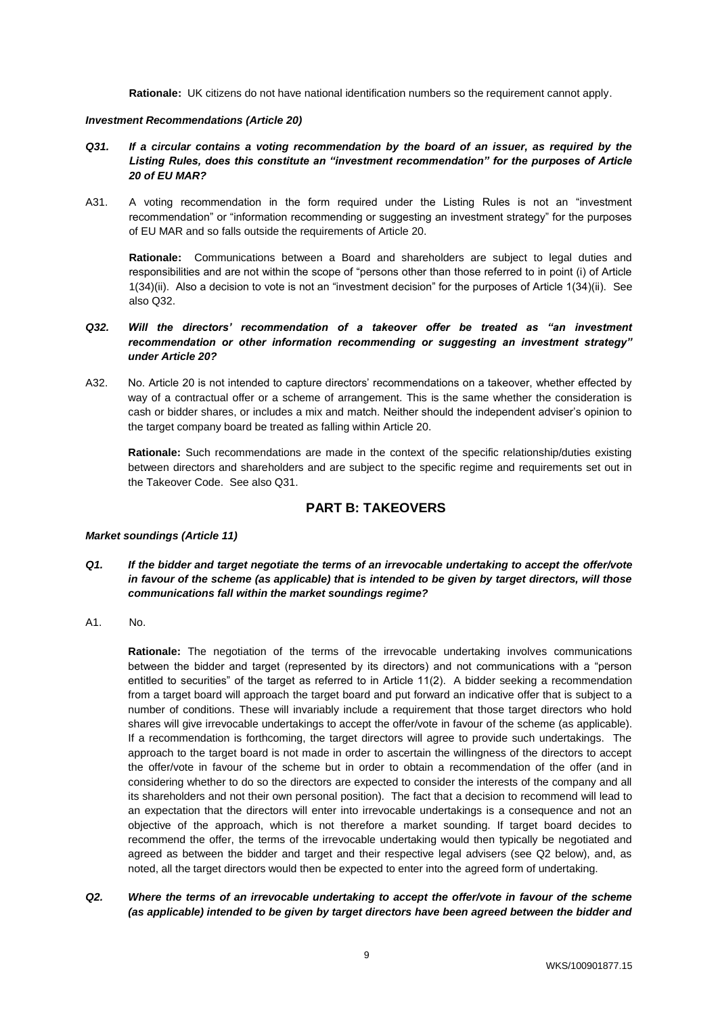**Rationale:** UK citizens do not have national identification numbers so the requirement cannot apply.

#### *Investment Recommendations (Article 20)*

- *Q31. If a circular contains a voting recommendation by the board of an issuer, as required by the Listing Rules, does this constitute an "investment recommendation" for the purposes of Article 20 of EU MAR?*
- A31. A voting recommendation in the form required under the Listing Rules is not an "investment recommendation" or "information recommending or suggesting an investment strategy" for the purposes of EU MAR and so falls outside the requirements of Article 20.

**Rationale:** Communications between a Board and shareholders are subject to legal duties and responsibilities and are not within the scope of "persons other than those referred to in point (i) of Article 1(34)(ii). Also a decision to vote is not an "investment decision" for the purposes of Article 1(34)(ii). See also Q32.

## *Q32. Will the directors' recommendation of a takeover offer be treated as "an investment recommendation or other information recommending or suggesting an investment strategy" under Article 20?*

A32. No. Article 20 is not intended to capture directors' recommendations on a takeover, whether effected by way of a contractual offer or a scheme of arrangement. This is the same whether the consideration is cash or bidder shares, or includes a mix and match. Neither should the independent adviser's opinion to the target company board be treated as falling within Article 20.

**Rationale:** Such recommendations are made in the context of the specific relationship/duties existing between directors and shareholders and are subject to the specific regime and requirements set out in the Takeover Code. See also Q31.

# **PART B: TAKEOVERS**

## *Market soundings (Article 11)*

- *Q1. If the bidder and target negotiate the terms of an irrevocable undertaking to accept the offer/vote in favour of the scheme (as applicable) that is intended to be given by target directors, will those communications fall within the market soundings regime?*
- A1. No.

**Rationale:** The negotiation of the terms of the irrevocable undertaking involves communications between the bidder and target (represented by its directors) and not communications with a "person entitled to securities" of the target as referred to in Article 11(2). A bidder seeking a recommendation from a target board will approach the target board and put forward an indicative offer that is subject to a number of conditions. These will invariably include a requirement that those target directors who hold shares will give irrevocable undertakings to accept the offer/vote in favour of the scheme (as applicable). If a recommendation is forthcoming, the target directors will agree to provide such undertakings. The approach to the target board is not made in order to ascertain the willingness of the directors to accept the offer/vote in favour of the scheme but in order to obtain a recommendation of the offer (and in considering whether to do so the directors are expected to consider the interests of the company and all its shareholders and not their own personal position). The fact that a decision to recommend will lead to an expectation that the directors will enter into irrevocable undertakings is a consequence and not an objective of the approach, which is not therefore a market sounding. If target board decides to recommend the offer, the terms of the irrevocable undertaking would then typically be negotiated and agreed as between the bidder and target and their respective legal advisers (see Q2 below), and, as noted, all the target directors would then be expected to enter into the agreed form of undertaking.

*Q2. Where the terms of an irrevocable undertaking to accept the offer/vote in favour of the scheme (as applicable) intended to be given by target directors have been agreed between the bidder and*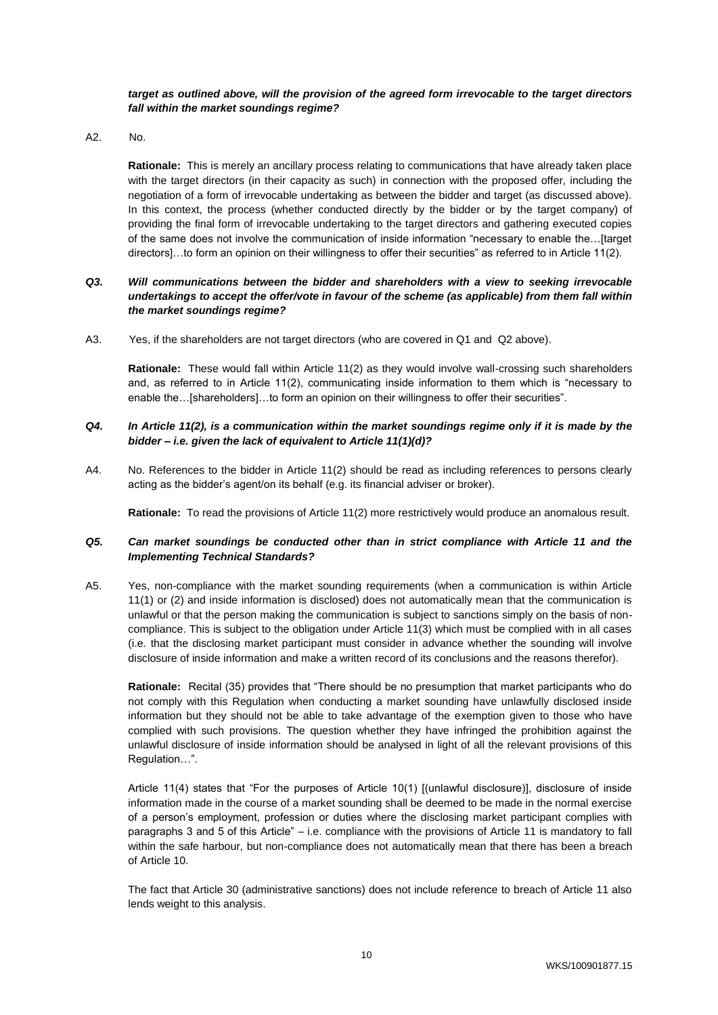#### *target as outlined above, will the provision of the agreed form irrevocable to the target directors fall within the market soundings regime?*

A2. No.

**Rationale:** This is merely an ancillary process relating to communications that have already taken place with the target directors (in their capacity as such) in connection with the proposed offer, including the negotiation of a form of irrevocable undertaking as between the bidder and target (as discussed above). In this context, the process (whether conducted directly by the bidder or by the target company) of providing the final form of irrevocable undertaking to the target directors and gathering executed copies of the same does not involve the communication of inside information "necessary to enable the…[target directors]…to form an opinion on their willingness to offer their securities" as referred to in Article 11(2).

## *Q3. Will communications between the bidder and shareholders with a view to seeking irrevocable undertakings to accept the offer/vote in favour of the scheme (as applicable) from them fall within the market soundings regime?*

A3. Yes, if the shareholders are not target directors (who are covered in Q1 and Q2 above).

**Rationale:** These would fall within Article 11(2) as they would involve wall-crossing such shareholders and, as referred to in Article 11(2), communicating inside information to them which is "necessary to enable the…[shareholders]…to form an opinion on their willingness to offer their securities".

# *Q4. In Article 11(2), is a communication within the market soundings regime only if it is made by the bidder – i.e. given the lack of equivalent to Article 11(1)(d)?*

A4. No. References to the bidder in Article 11(2) should be read as including references to persons clearly acting as the bidder's agent/on its behalf (e.g. its financial adviser or broker).

**Rationale:** To read the provisions of Article 11(2) more restrictively would produce an anomalous result.

## *Q5. Can market soundings be conducted other than in strict compliance with Article 11 and the Implementing Technical Standards?*

A5. Yes, non-compliance with the market sounding requirements (when a communication is within Article 11(1) or (2) and inside information is disclosed) does not automatically mean that the communication is unlawful or that the person making the communication is subject to sanctions simply on the basis of noncompliance. This is subject to the obligation under Article 11(3) which must be complied with in all cases (i.e. that the disclosing market participant must consider in advance whether the sounding will involve disclosure of inside information and make a written record of its conclusions and the reasons therefor).

**Rationale:** Recital (35) provides that "There should be no presumption that market participants who do not comply with this Regulation when conducting a market sounding have unlawfully disclosed inside information but they should not be able to take advantage of the exemption given to those who have complied with such provisions. The question whether they have infringed the prohibition against the unlawful disclosure of inside information should be analysed in light of all the relevant provisions of this Regulation…".

Article 11(4) states that "For the purposes of Article 10(1) [(unlawful disclosure)], disclosure of inside information made in the course of a market sounding shall be deemed to be made in the normal exercise of a person's employment, profession or duties where the disclosing market participant complies with paragraphs 3 and 5 of this Article" – i.e. compliance with the provisions of Article 11 is mandatory to fall within the safe harbour, but non-compliance does not automatically mean that there has been a breach of Article 10.

The fact that Article 30 (administrative sanctions) does not include reference to breach of Article 11 also lends weight to this analysis.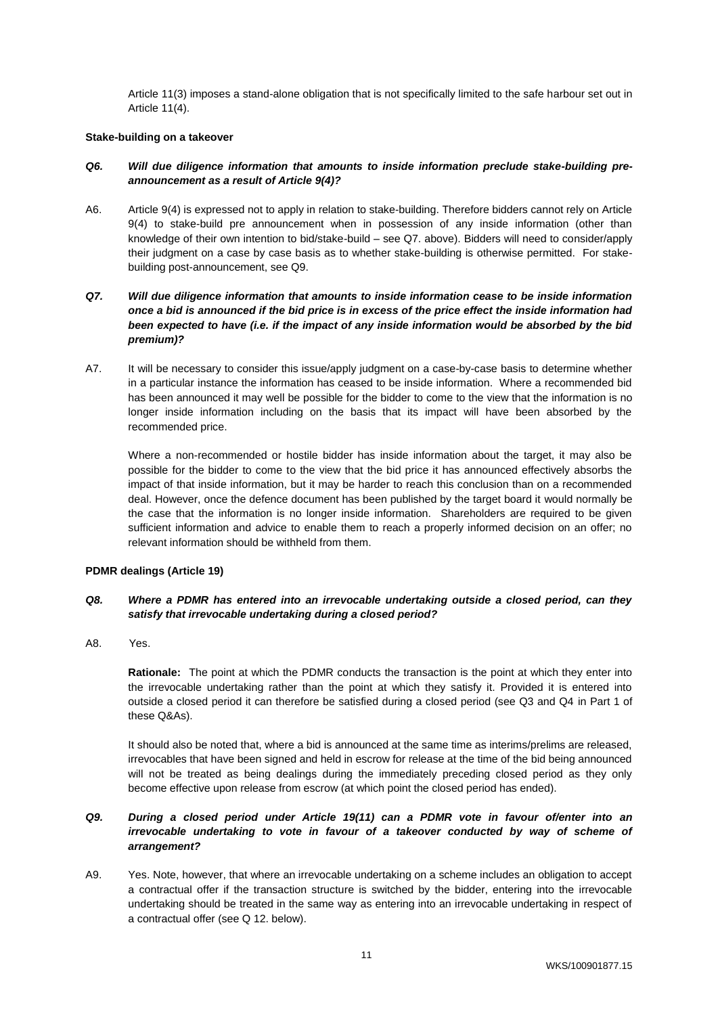Article 11(3) imposes a stand-alone obligation that is not specifically limited to the safe harbour set out in Article 11(4).

## **Stake-building on a takeover**

## *Q6. Will due diligence information that amounts to inside information preclude stake-building preannouncement as a result of Article 9(4)?*

A6. Article 9(4) is expressed not to apply in relation to stake-building. Therefore bidders cannot rely on Article 9(4) to stake-build pre announcement when in possession of any inside information (other than knowledge of their own intention to bid/stake-build – see Q7. above). Bidders will need to consider/apply their judgment on a case by case basis as to whether stake-building is otherwise permitted. For stakebuilding post-announcement, see Q9.

# *Q7. Will due diligence information that amounts to inside information cease to be inside information once a bid is announced if the bid price is in excess of the price effect the inside information had been expected to have (i.e. if the impact of any inside information would be absorbed by the bid premium)?*

A7. It will be necessary to consider this issue/apply judgment on a case-by-case basis to determine whether in a particular instance the information has ceased to be inside information. Where a recommended bid has been announced it may well be possible for the bidder to come to the view that the information is no longer inside information including on the basis that its impact will have been absorbed by the recommended price.

Where a non-recommended or hostile bidder has inside information about the target, it may also be possible for the bidder to come to the view that the bid price it has announced effectively absorbs the impact of that inside information, but it may be harder to reach this conclusion than on a recommended deal. However, once the defence document has been published by the target board it would normally be the case that the information is no longer inside information. Shareholders are required to be given sufficient information and advice to enable them to reach a properly informed decision on an offer; no relevant information should be withheld from them.

## **PDMR dealings (Article 19)**

## *Q8. Where a PDMR has entered into an irrevocable undertaking outside a closed period, can they satisfy that irrevocable undertaking during a closed period?*

A8. Yes.

**Rationale:** The point at which the PDMR conducts the transaction is the point at which they enter into the irrevocable undertaking rather than the point at which they satisfy it. Provided it is entered into outside a closed period it can therefore be satisfied during a closed period (see Q3 and Q4 in Part 1 of these Q&As).

It should also be noted that, where a bid is announced at the same time as interims/prelims are released, irrevocables that have been signed and held in escrow for release at the time of the bid being announced will not be treated as being dealings during the immediately preceding closed period as they only become effective upon release from escrow (at which point the closed period has ended).

# *Q9. During a closed period under Article 19(11) can a PDMR vote in favour of/enter into an irrevocable undertaking to vote in favour of a takeover conducted by way of scheme of arrangement?*

A9. Yes. Note, however, that where an irrevocable undertaking on a scheme includes an obligation to accept a contractual offer if the transaction structure is switched by the bidder, entering into the irrevocable undertaking should be treated in the same way as entering into an irrevocable undertaking in respect of a contractual offer (see Q 12. below).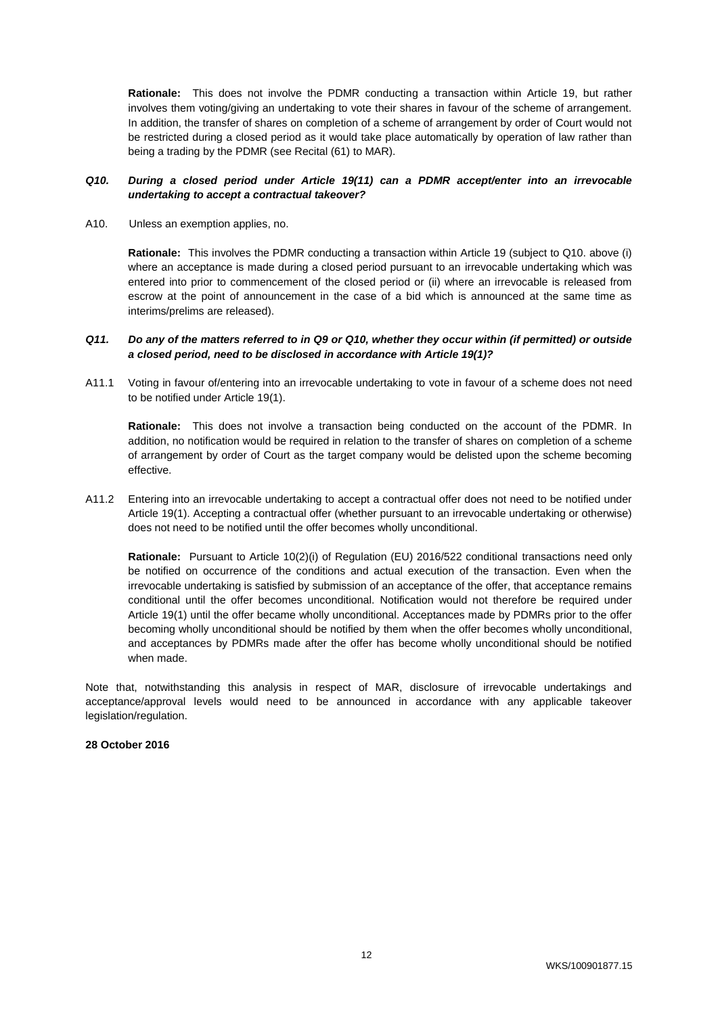**Rationale:** This does not involve the PDMR conducting a transaction within Article 19, but rather involves them voting/giving an undertaking to vote their shares in favour of the scheme of arrangement. In addition, the transfer of shares on completion of a scheme of arrangement by order of Court would not be restricted during a closed period as it would take place automatically by operation of law rather than being a trading by the PDMR (see Recital (61) to MAR).

## *Q10. During a closed period under Article 19(11) can a PDMR accept/enter into an irrevocable undertaking to accept a contractual takeover?*

A10. Unless an exemption applies, no.

**Rationale:** This involves the PDMR conducting a transaction within Article 19 (subject to Q10. above (i) where an acceptance is made during a closed period pursuant to an irrevocable undertaking which was entered into prior to commencement of the closed period or (ii) where an irrevocable is released from escrow at the point of announcement in the case of a bid which is announced at the same time as interims/prelims are released).

## *Q11. Do any of the matters referred to in Q9 or Q10, whether they occur within (if permitted) or outside a closed period, need to be disclosed in accordance with Article 19(1)?*

A11.1 Voting in favour of/entering into an irrevocable undertaking to vote in favour of a scheme does not need to be notified under Article 19(1).

**Rationale:** This does not involve a transaction being conducted on the account of the PDMR. In addition, no notification would be required in relation to the transfer of shares on completion of a scheme of arrangement by order of Court as the target company would be delisted upon the scheme becoming effective.

A11.2 Entering into an irrevocable undertaking to accept a contractual offer does not need to be notified under Article 19(1). Accepting a contractual offer (whether pursuant to an irrevocable undertaking or otherwise) does not need to be notified until the offer becomes wholly unconditional.

**Rationale:** Pursuant to Article 10(2)(i) of Regulation (EU) 2016/522 conditional transactions need only be notified on occurrence of the conditions and actual execution of the transaction. Even when the irrevocable undertaking is satisfied by submission of an acceptance of the offer, that acceptance remains conditional until the offer becomes unconditional. Notification would not therefore be required under Article 19(1) until the offer became wholly unconditional. Acceptances made by PDMRs prior to the offer becoming wholly unconditional should be notified by them when the offer becomes wholly unconditional, and acceptances by PDMRs made after the offer has become wholly unconditional should be notified when made.

Note that, notwithstanding this analysis in respect of MAR, disclosure of irrevocable undertakings and acceptance/approval levels would need to be announced in accordance with any applicable takeover legislation/regulation.

# **28 October 2016**